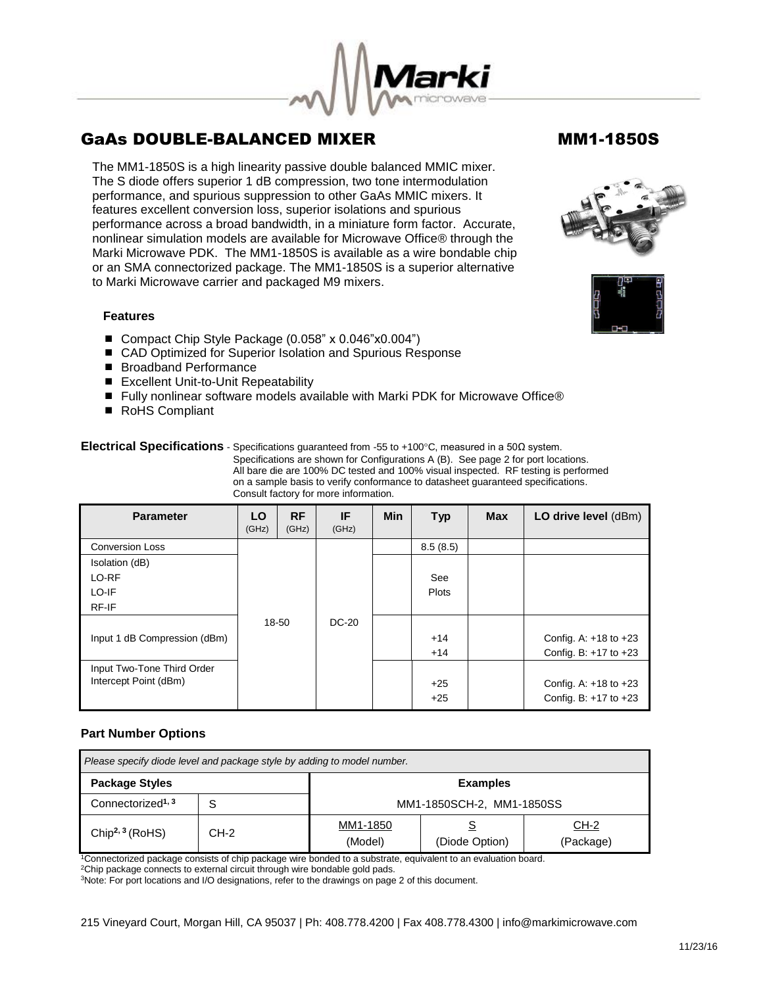The MM1-1850S is a high linearity passive double balanced MMIC mixer. The S diode offers superior 1 dB compression, two tone intermodulation performance, and spurious suppression to other GaAs MMIC mixers. It features excellent conversion loss, superior isolations and spurious performance across a broad bandwidth, in a miniature form factor. Accurate, nonlinear simulation models are available for Microwave Office® through the Marki Microwave PDK. The MM1-1850S is available as a wire bondable chip or an SMA connectorized package. The MM1-1850S is a superior alternative to Marki Microwave carrier and packaged M9 mixers.

### **Features**

- Compact Chip Style Package (0.058" x 0.046"x0.004")
- CAD Optimized for Superior Isolation and Spurious Response
- Broadband Performance
- Excellent Unit-to-Unit Repeatability
- Fully nonlinear software models available with Marki PDK for Microwave Office®
- RoHS Compliant

**Electrical Specifications** - Specifications guaranteed from -55 to +100°C, measured in a 50Ω system.

 Specifications are shown for Configurations A (B). See page 2 for port locations. All bare die are 100% DC tested and 100% visual inspected. RF testing is performed on a sample basis to verify conformance to datasheet guaranteed specifications. Consult factory for more information.

| <b>Parameter</b>             | LO<br>(GHz) | <b>RF</b><br>(GHz) | IF<br>(GHz)  | <b>Min</b> | <b>Typ</b>   | <b>Max</b> | LO drive level (dBm)      |
|------------------------------|-------------|--------------------|--------------|------------|--------------|------------|---------------------------|
| <b>Conversion Loss</b>       |             |                    |              |            | 8.5(8.5)     |            |                           |
| Isolation (dB)               |             |                    |              |            |              |            |                           |
| LO-RF                        |             |                    |              |            | See          |            |                           |
| LO-IF                        |             |                    |              |            | <b>Plots</b> |            |                           |
| RF-IF                        |             |                    |              |            |              |            |                           |
|                              |             | 18-50              | <b>DC-20</b> |            |              |            |                           |
| Input 1 dB Compression (dBm) |             |                    |              |            | $+14$        |            | Config. A: $+18$ to $+23$ |
|                              |             |                    |              |            | $+14$        |            | Config. B: $+17$ to $+23$ |
| Input Two-Tone Third Order   |             |                    |              |            |              |            |                           |
| Intercept Point (dBm)        |             |                    |              |            | $+25$        |            | Config. A: $+18$ to $+23$ |
|                              |             |                    |              |            | $+25$        |            | Config. B: $+17$ to $+23$ |

### **Part Number Options**

| Please specify diode level and package style by adding to model number. |        |                           |                |                   |  |  |
|-------------------------------------------------------------------------|--------|---------------------------|----------------|-------------------|--|--|
| <b>Package Styles</b><br><b>Examples</b>                                |        |                           |                |                   |  |  |
| Connectorized <sup>1, 3</sup><br>c                                      |        | MM1-1850SCH-2, MM1-1850SS |                |                   |  |  |
| Chip <sup>2, 3</sup> (RoHS)                                             | $CH-2$ | MM1-1850<br>(Model)       | (Diode Option) | CH-2<br>(Package) |  |  |

<sup>1</sup>Connectorized package consists of chip package wire bonded to a substrate, equivalent to an evaluation board.

<sup>2</sup>Chip package connects to external circuit through wire bondable gold pads.

<sup>3</sup>Note: For port locations and I/O designations, refer to the drawings on page 2 of this document.

215 Vineyard Court, Morgan Hill, CA 95037 | Ph: 408.778.4200 | Fax 408.778.4300 | info@markimicrowave.com







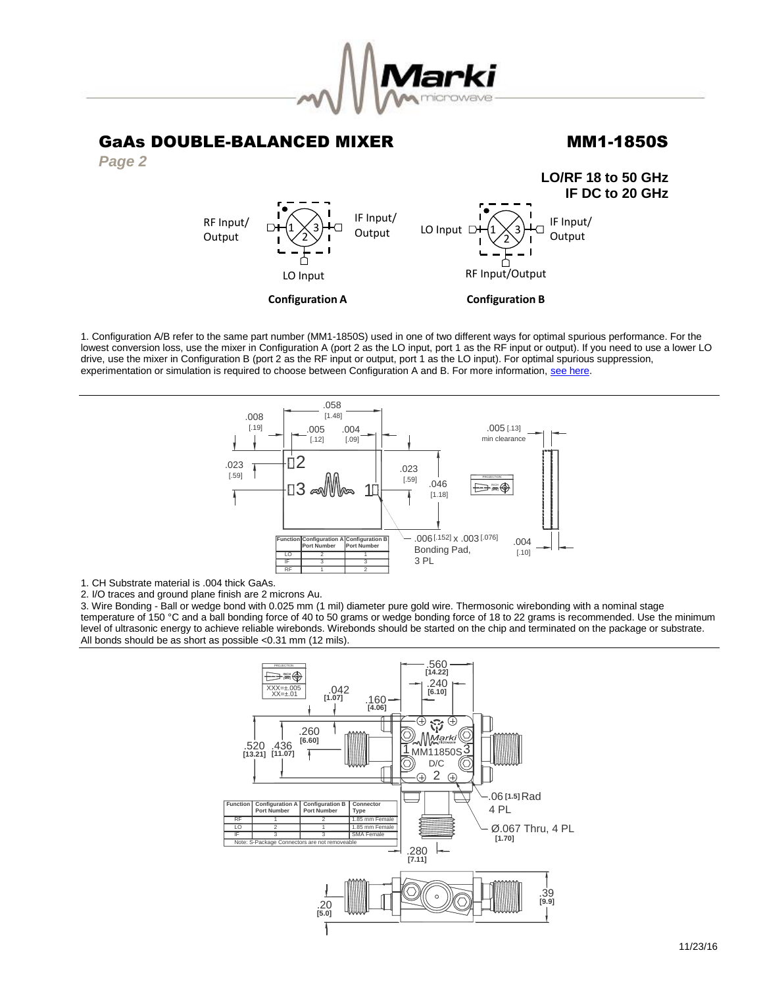

#### GaAs DOUBLE-BALANCED MIXER MM1-1850S *Page 2* **LO/RF 18 to 50 GHz IF DC to 20 GHz**  $1 \times 3$  $2^{6}$ RF Input/Output LO Input  $\Box + (1 \times 3)$  IF Input/ **Output Configuration B**  $1\times 3$ 2 RF Input/ **Output** LO Input IF Input/ **Output Configuration A**

1. Configuration A/B refer to the same part number (MM1-1850S) used in one of two different ways for optimal spurious performance. For the lowest conversion loss, use the mixer in Configuration A (port 2 as the LO input, port 1 as the RF input or output). If you need to use a lower LO drive, use the mixer in Configuration B (port 2 as the RF input or output, port 1 as the LO input). For optimal spurious suppression, experimentation or simulation is required to choose between Configuration A and B. For more information, [see here.](http://www.markimicrowave.com/rf-microwave-qa/q/what-is-the-difference-between-configuration-a-and-configuration-b-on-mixers)



1. CH Substrate material is .004 thick GaAs.

2. I/O traces and ground plane finish are 2 microns Au.

3. Wire Bonding - Ball or wedge bond with 0.025 mm (1 mil) diameter pure gold wire. Thermosonic wirebonding with a nominal stage temperature of 150 °C and a ball bonding force of 40 to 50 grams or wedge bonding force of 18 to 22 grams is recommended. Use the minimum level of ultrasonic energy to achieve reliable wirebonds. Wirebonds should be started on the chip and terminated on the package or substrate. All bonds should be as short as possible <0.31 mm (12 mils).

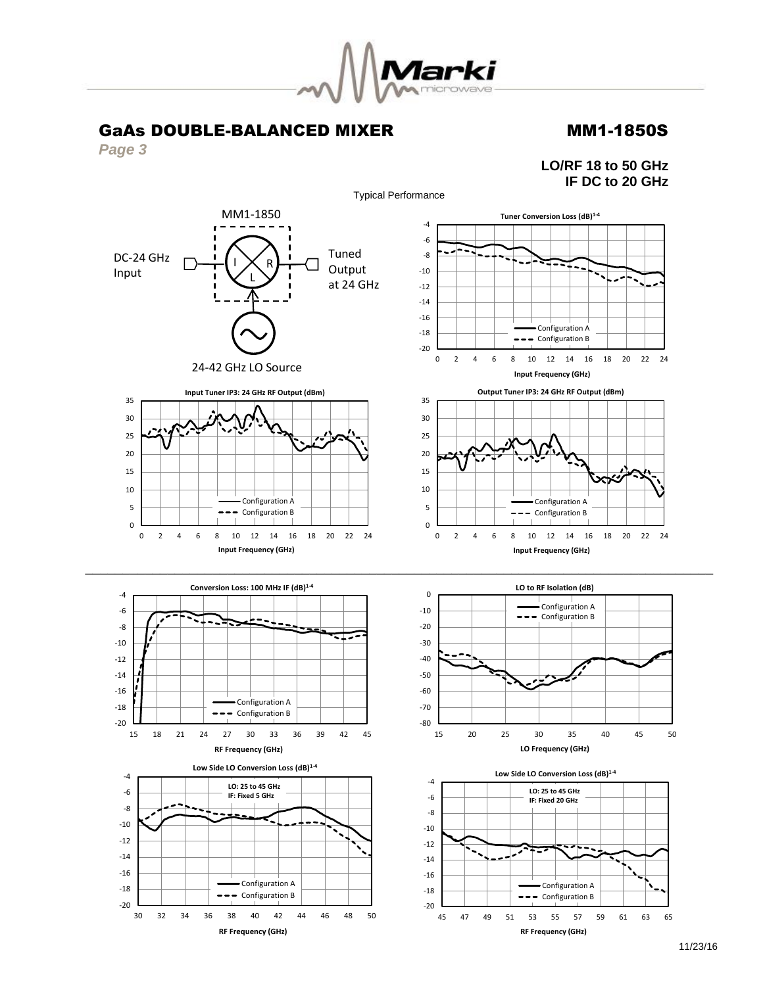

*Page 3*

**LO/RF 18 to 50 GHz IF DC to 20 GHz**

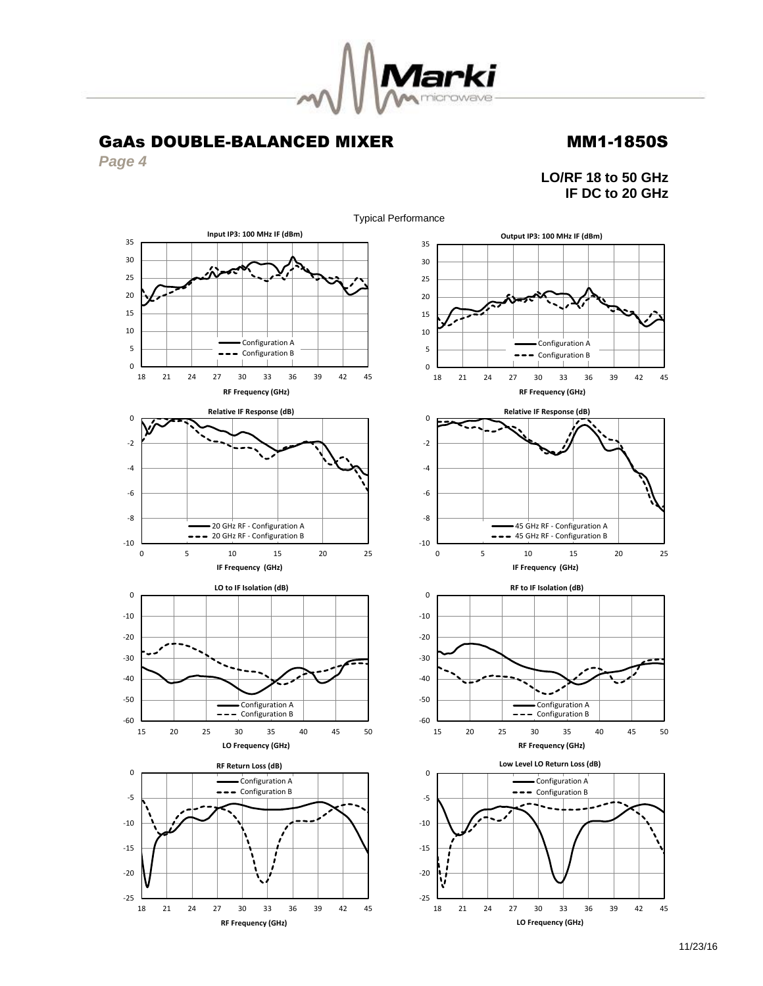

*Page 4*

**LO/RF 18 to 50 GHz IF DC to 20 GHz**

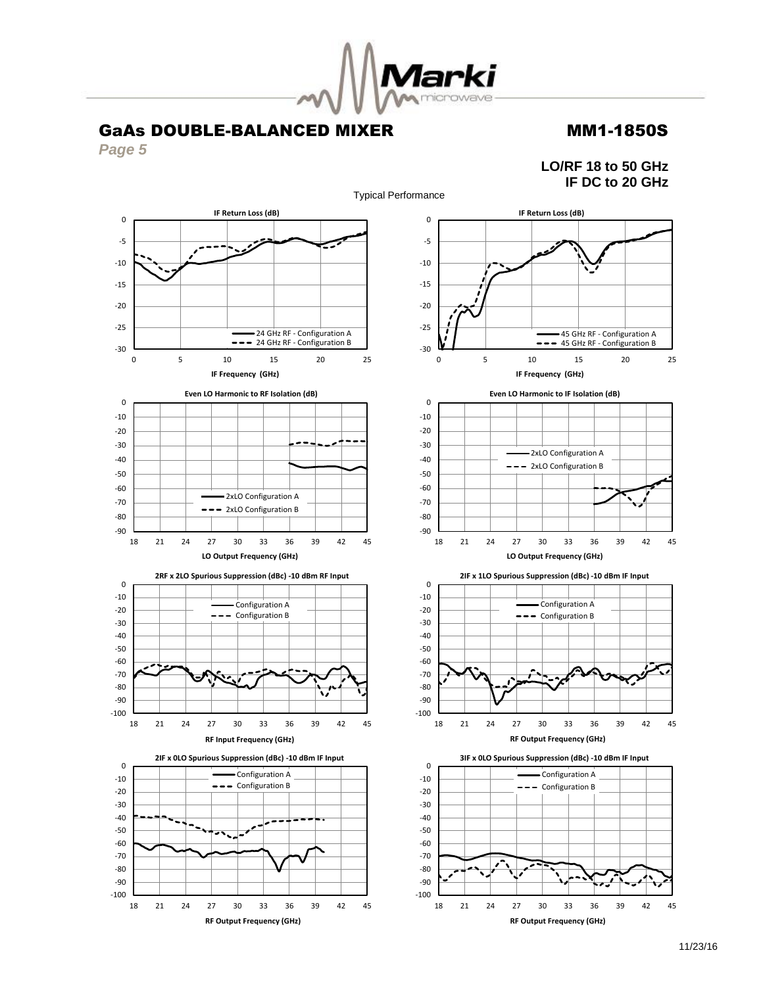

*Page 5*

**LO/RF 18 to 50 GHz IF DC to 20 GHz**

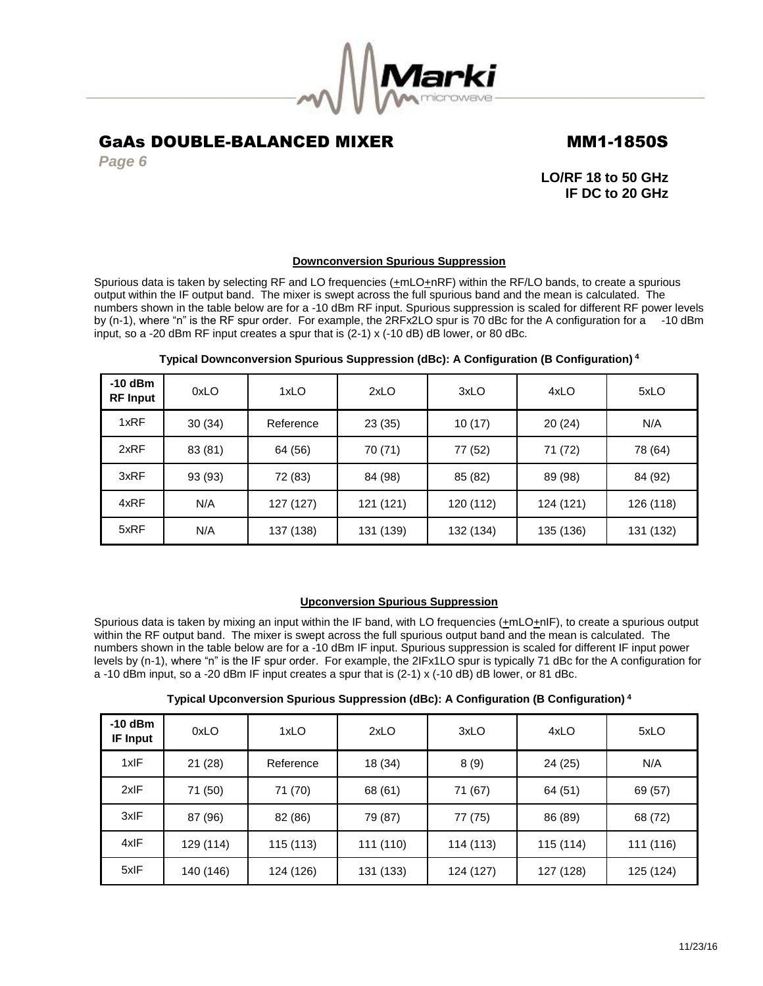

*Page 6*

**LO/RF 18 to 50 GHz IF DC to 20 GHz**

### **Downconversion Spurious Suppression**

Spurious data is taken by selecting RF and LO frequencies  $(\pm mLO+\text{nRF})$  within the RF/LO bands, to create a spurious output within the IF output band. The mixer is swept across the full spurious band and the mean is calculated. The numbers shown in the table below are for a -10 dBm RF input. Spurious suppression is scaled for different RF power levels by (n-1), where "n" is the RF spur order. For example, the 2RFx2LO spur is 70 dBc for the A configuration for a -10 dBm input, so a -20 dBm RF input creates a spur that is (2-1) x (-10 dB) dB lower, or 80 dBc.

| $-10$ dBm<br><b>RF Input</b> | 0xLO    | 1xLO      | 2xLO      | 3xLO      | 4xLO      | 5xLO      |
|------------------------------|---------|-----------|-----------|-----------|-----------|-----------|
| 1xRF                         | 30(34)  | Reference | 23 (35)   | 10(17)    | 20(24)    | N/A       |
| 2xRF                         | 83 (81) | 64 (56)   | 70 (71)   | 77 (52)   | 71 (72)   | 78 (64)   |
| 3xRF                         | 93 (93) | 72 (83)   | 84 (98)   | 85 (82)   | 89 (98)   | 84 (92)   |
| 4xRF                         | N/A     | 127 (127) | 121 (121) | 120 (112) | 124 (121) | 126 (118) |
| 5xRF                         | N/A     | 137 (138) | 131 (139) | 132 (134) | 135 (136) | 131 (132) |

### **Typical Downconversion Spurious Suppression (dBc): A Configuration (B Configuration) <sup>4</sup>**

### **Upconversion Spurious Suppression**

Spurious data is taken by mixing an input within the IF band, with LO frequencies (+mLO+nIF), to create a spurious output within the RF output band. The mixer is swept across the full spurious output band and the mean is calculated. The numbers shown in the table below are for a -10 dBm IF input. Spurious suppression is scaled for different IF input power levels by (n-1), where "n" is the IF spur order. For example, the 2IFx1LO spur is typically 71 dBc for the A configuration for a -10 dBm input, so a -20 dBm IF input creates a spur that is (2-1) x (-10 dB) dB lower, or 81 dBc.

| Typical Upconversion Spurious Suppression (dBc): A Configuration (B Configuration) <sup>4</sup> |  |  |  |
|-------------------------------------------------------------------------------------------------|--|--|--|
|                                                                                                 |  |  |  |

| $-10$ dBm<br><b>IF Input</b> | 0xLO      | 1xLO      | 2xLO      | 3xLO      | 4xLO      | 5xLO      |
|------------------------------|-----------|-----------|-----------|-----------|-----------|-----------|
| 1xIF                         | 21(28)    | Reference | 18 (34)   | 8(9)      | 24 (25)   | N/A       |
| 2xIF                         | 71 (50)   | 71 (70)   | 68 (61)   | 71 (67)   | 64 (51)   | 69 (57)   |
| 3xIF                         | 87 (96)   | 82 (86)   | 79 (87)   | 77 (75)   | 86 (89)   | 68 (72)   |
| 4xIF                         | 129 (114) | 115 (113) | 111 (110) | 114 (113) | 115 (114) | 111 (116) |
| 5xIF                         | 140 (146) | 124 (126) | 131 (133) | 124 (127) | 127 (128) | 125 (124) |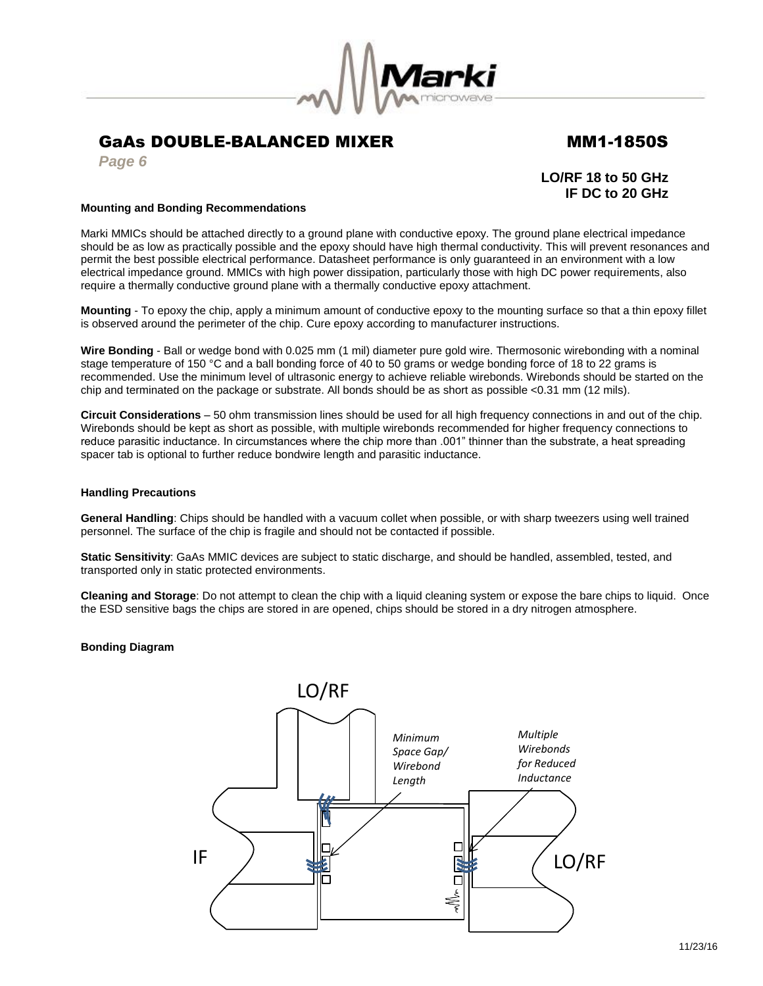

*Page 6*

## **LO/RF 18 to 50 GHz IF DC to 20 GHz**

### **Mounting and Bonding Recommendations**

Marki MMICs should be attached directly to a ground plane with conductive epoxy. The ground plane electrical impedance should be as low as practically possible and the epoxy should have high thermal conductivity. This will prevent resonances and permit the best possible electrical performance. Datasheet performance is only guaranteed in an environment with a low electrical impedance ground. MMICs with high power dissipation, particularly those with high DC power requirements, also require a thermally conductive ground plane with a thermally conductive epoxy attachment.

**Mounting** - To epoxy the chip, apply a minimum amount of conductive epoxy to the mounting surface so that a thin epoxy fillet is observed around the perimeter of the chip. Cure epoxy according to manufacturer instructions.

**Wire Bonding** - Ball or wedge bond with 0.025 mm (1 mil) diameter pure gold wire. Thermosonic wirebonding with a nominal stage temperature of 150 °C and a ball bonding force of 40 to 50 grams or wedge bonding force of 18 to 22 grams is recommended. Use the minimum level of ultrasonic energy to achieve reliable wirebonds. Wirebonds should be started on the chip and terminated on the package or substrate. All bonds should be as short as possible <0.31 mm (12 mils).

**Circuit Considerations** – 50 ohm transmission lines should be used for all high frequency connections in and out of the chip. Wirebonds should be kept as short as possible, with multiple wirebonds recommended for higher frequency connections to reduce parasitic inductance. In circumstances where the chip more than .001" thinner than the substrate, a heat spreading spacer tab is optional to further reduce bondwire length and parasitic inductance.

### **Handling Precautions**

**General Handling**: Chips should be handled with a vacuum collet when possible, or with sharp tweezers using well trained personnel. The surface of the chip is fragile and should not be contacted if possible.

**Static Sensitivity**: GaAs MMIC devices are subject to static discharge, and should be handled, assembled, tested, and transported only in static protected environments.

**Cleaning and Storage**: Do not attempt to clean the chip with a liquid cleaning system or expose the bare chips to liquid. Once the ESD sensitive bags the chips are stored in are opened, chips should be stored in a dry nitrogen atmosphere.

### **Bonding Diagram**